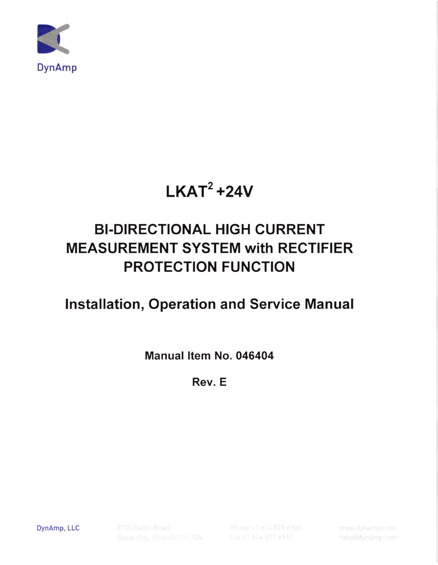

# $\mathsf{LKAT}^2$ +24V

## BI.DIRECTIONAL HIGH CURRENT MEASUREMENT SYSTEM with RECTIFIER PROTECTION FUNCTION

## lnstallation, Operation and Service Manual

Manual ltem No. 046404

Rev. E

DynAmp, LLC

3735 Gantz Road Grove City, Ohio 43123 USA

Phone +1 614.871.6900 Fax +1 614.871.6910

help@dynamp.com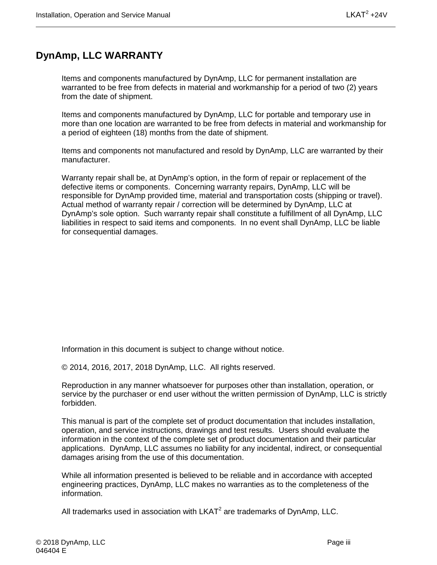## <span id="page-2-0"></span>**DynAmp, LLC WARRANTY**

Items and components manufactured by DynAmp, LLC for permanent installation are warranted to be free from defects in material and workmanship for a period of two (2) years from the date of shipment.

Items and components manufactured by DynAmp, LLC for portable and temporary use in more than one location are warranted to be free from defects in material and workmanship for a period of eighteen (18) months from the date of shipment.

Items and components not manufactured and resold by DynAmp, LLC are warranted by their manufacturer.

Warranty repair shall be, at DynAmp's option, in the form of repair or replacement of the defective items or components. Concerning warranty repairs, DynAmp, LLC will be responsible for DynAmp provided time, material and transportation costs (shipping or travel). Actual method of warranty repair / correction will be determined by DynAmp, LLC at DynAmp's sole option. Such warranty repair shall constitute a fulfillment of all DynAmp, LLC liabilities in respect to said items and components. In no event shall DynAmp, LLC be liable for consequential damages.

Information in this document is subject to change without notice.

© 2014, 2016, 2017, 2018 DynAmp, LLC. All rights reserved.

Reproduction in any manner whatsoever for purposes other than installation, operation, or service by the purchaser or end user without the written permission of DynAmp, LLC is strictly forbidden.

This manual is part of the complete set of product documentation that includes installation, operation, and service instructions, drawings and test results. Users should evaluate the information in the context of the complete set of product documentation and their particular applications. DynAmp, LLC assumes no liability for any incidental, indirect, or consequential damages arising from the use of this documentation.

While all information presented is believed to be reliable and in accordance with accepted engineering practices, DynAmp, LLC makes no warranties as to the completeness of the information.

All trademarks used in association with  $LKAT<sup>2</sup>$  are trademarks of DynAmp, LLC.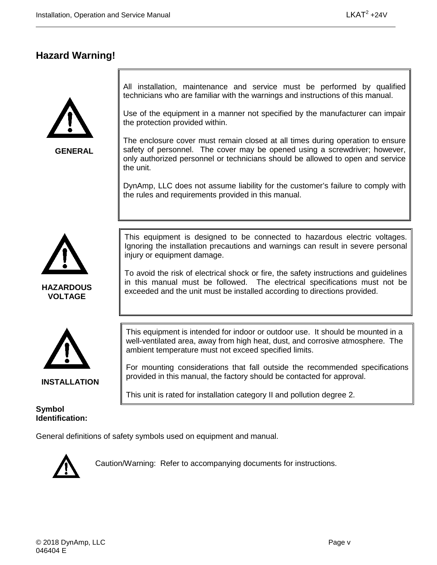## <span id="page-4-0"></span>**Hazard Warning!**



**GENERAL**

All installation, maintenance and service must be performed by qualified technicians who are familiar with the warnings and instructions of this manual.

Use of the equipment in a manner not specified by the manufacturer can impair the protection provided within.

The enclosure cover must remain closed at all times during operation to ensure safety of personnel. The cover may be opened using a screwdriver; however, only authorized personnel or technicians should be allowed to open and service the unit.

DynAmp, LLC does not assume liability for the customer's failure to comply with the rules and requirements provided in this manual.



**HAZARDOUS VOLTAGE**



To avoid the risk of electrical shock or fire, the safety instructions and guidelines in this manual must be followed. The electrical specifications must not be exceeded and the unit must be installed according to directions provided.



**INSTALLATION**

**Symbol Identification:**

This equipment is intended for indoor or outdoor use. It should be mounted in a well-ventilated area, away from high heat, dust, and corrosive atmosphere. The ambient temperature must not exceed specified limits.

For mounting considerations that fall outside the recommended specifications provided in this manual, the factory should be contacted for approval.

This unit is rated for installation category II and pollution degree 2.

General definitions of safety symbols used on equipment and manual.



Caution/Warning: Refer to accompanying documents for instructions.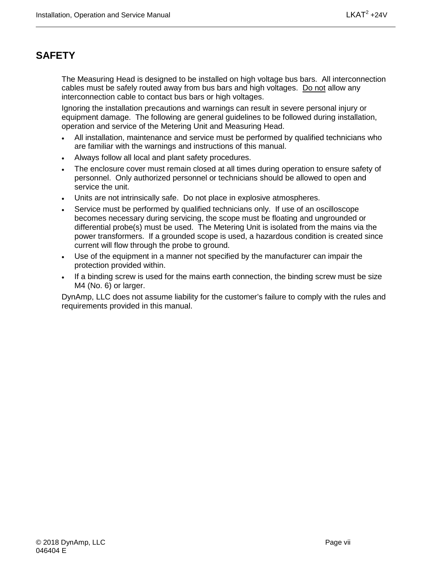## <span id="page-6-0"></span>**SAFETY**

The Measuring Head is designed to be installed on high voltage bus bars. All interconnection cables must be safely routed away from bus bars and high voltages. Do not allow any interconnection cable to contact bus bars or high voltages.

Ignoring the installation precautions and warnings can result in severe personal injury or equipment damage. The following are general guidelines to be followed during installation, operation and service of the Metering Unit and Measuring Head.

- All installation, maintenance and service must be performed by qualified technicians who are familiar with the warnings and instructions of this manual.
- Always follow all local and plant safety procedures.
- The enclosure cover must remain closed at all times during operation to ensure safety of personnel. Only authorized personnel or technicians should be allowed to open and service the unit.
- Units are not intrinsically safe. Do not place in explosive atmospheres.
- Service must be performed by qualified technicians only. If use of an oscilloscope becomes necessary during servicing, the scope must be floating and ungrounded or differential probe(s) must be used. The Metering Unit is isolated from the mains via the power transformers. If a grounded scope is used, a hazardous condition is created since current will flow through the probe to ground.
- Use of the equipment in a manner not specified by the manufacturer can impair the protection provided within.
- If a binding screw is used for the mains earth connection, the binding screw must be size M4 (No. 6) or larger.

DynAmp, LLC does not assume liability for the customer's failure to comply with the rules and requirements provided in this manual.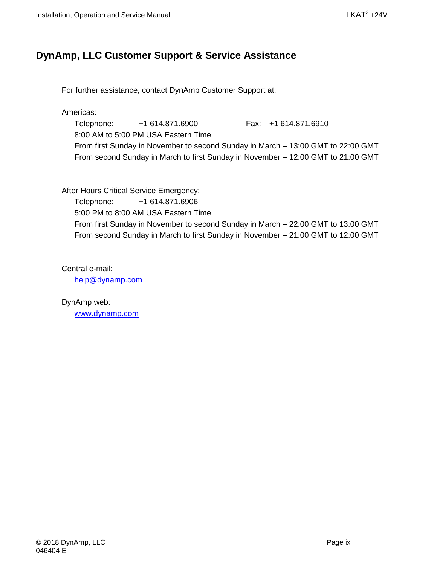## <span id="page-8-0"></span>**DynAmp, LLC Customer Support & Service Assistance**

For further assistance, contact DynAmp Customer Support at:

Americas:

Telephone: +1 614.871.6900 Fax: +1 614.871.6910 8:00 AM to 5:00 PM USA Eastern Time From first Sunday in November to second Sunday in March – 13:00 GMT to 22:00 GMT From second Sunday in March to first Sunday in November – 12:00 GMT to 21:00 GMT

After Hours Critical Service Emergency:

Telephone: +1 614.871.6906 5:00 PM to 8:00 AM USA Eastern Time From first Sunday in November to second Sunday in March – 22:00 GMT to 13:00 GMT From second Sunday in March to first Sunday in November – 21:00 GMT to 12:00 GMT

Central e-mail:

[help@dynamp.com](mailto:help@dynamp.com)

DynAmp web: [www.dynamp.com](http://www.dynamp.com/)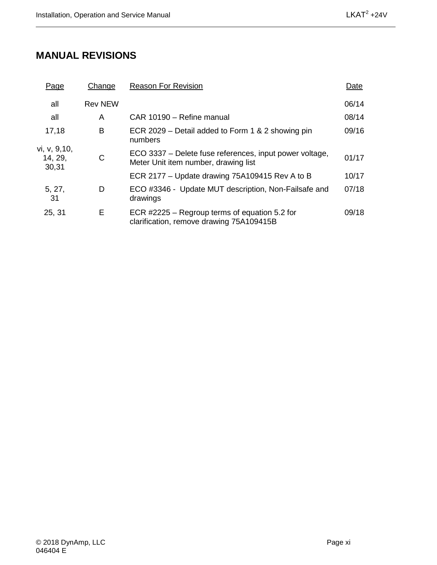## <span id="page-10-0"></span>**MANUAL REVISIONS**

| Page                             | Change         | <b>Reason For Revision</b>                                                                      | Date  |
|----------------------------------|----------------|-------------------------------------------------------------------------------------------------|-------|
| all                              | <b>Rev NEW</b> |                                                                                                 | 06/14 |
| all                              | A              | CAR 10190 - Refine manual                                                                       | 08/14 |
| 17,18                            | в              | ECR 2029 – Detail added to Form 1 & 2 showing pin<br>numbers                                    | 09/16 |
| vi, v, 9,10,<br>14, 29,<br>30,31 | С              | ECO 3337 - Delete fuse references, input power voltage,<br>Meter Unit item number, drawing list | 01/17 |
|                                  |                | ECR 2177 – Update drawing 75A109415 Rev A to B                                                  | 10/17 |
| 5, 27,<br>31                     | D              | ECO #3346 - Update MUT description, Non-Failsafe and<br>drawings                                | 07/18 |
| 25, 31                           | E              | ECR #2225 – Regroup terms of equation 5.2 for<br>clarification, remove drawing 75A109415B       | 09/18 |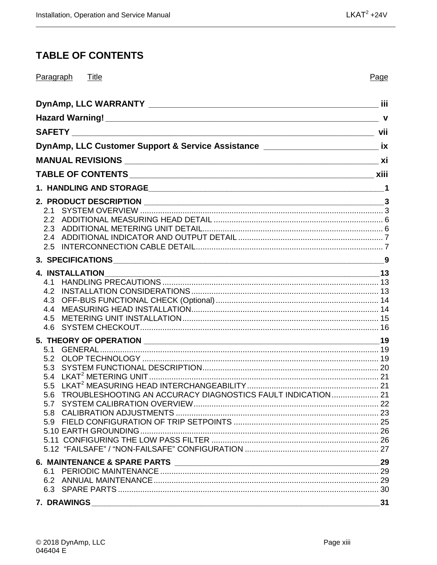## <span id="page-12-0"></span>**TABLE OF CONTENTS**

| Paragraph Title                                                                     | Page |
|-------------------------------------------------------------------------------------|------|
|                                                                                     |      |
|                                                                                     |      |
|                                                                                     |      |
| DynAmp, LLC Customer Support & Service Assistance ______________________________ ix |      |
|                                                                                     |      |
|                                                                                     |      |
|                                                                                     |      |
|                                                                                     |      |
|                                                                                     |      |
|                                                                                     |      |
|                                                                                     |      |
|                                                                                     |      |
| 2.5                                                                                 |      |
|                                                                                     |      |
|                                                                                     |      |
|                                                                                     |      |
|                                                                                     |      |
|                                                                                     |      |
|                                                                                     |      |
| 4.5                                                                                 |      |
| 4.6                                                                                 |      |
|                                                                                     |      |
| 5.1                                                                                 |      |
| 5.2                                                                                 |      |
|                                                                                     |      |
|                                                                                     |      |
|                                                                                     |      |
| 5.6 TROUBLESHOOTING AN ACCURACY DIAGNOSTICS FAULT INDICATION 21                     |      |
|                                                                                     |      |
|                                                                                     |      |
|                                                                                     |      |
|                                                                                     |      |
|                                                                                     |      |
|                                                                                     | 29   |
|                                                                                     |      |
|                                                                                     |      |
|                                                                                     |      |
|                                                                                     | 31   |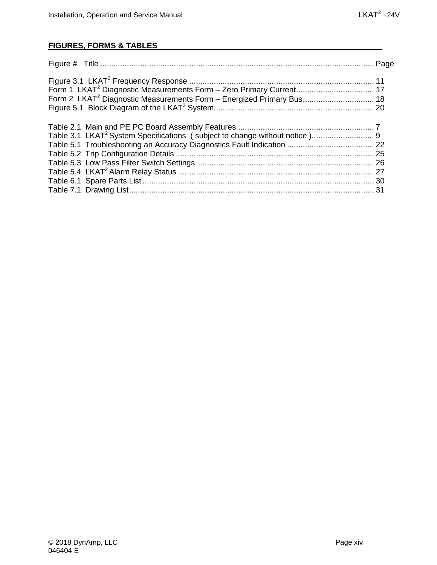#### **FIGURES, FORMS & TABLES**

| Form 2 LKAT <sup>2</sup> Diagnostic Measurements Form - Energized Primary Bus 18 |  |
|----------------------------------------------------------------------------------|--|
|                                                                                  |  |
|                                                                                  |  |
|                                                                                  |  |
|                                                                                  |  |
|                                                                                  |  |
|                                                                                  |  |
|                                                                                  |  |
|                                                                                  |  |
|                                                                                  |  |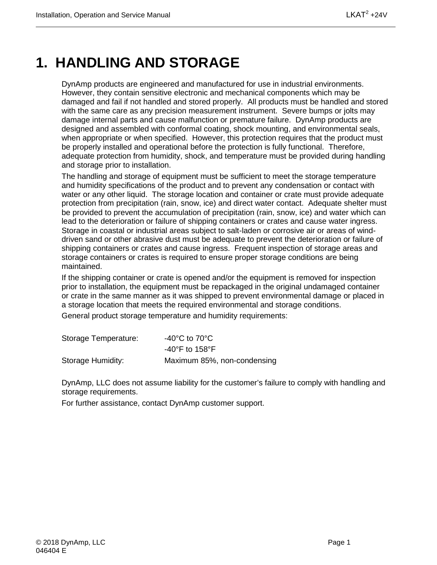## <span id="page-14-0"></span>**1. HANDLING AND STORAGE**

DynAmp products are engineered and manufactured for use in industrial environments. However, they contain sensitive electronic and mechanical components which may be damaged and fail if not handled and stored properly. All products must be handled and stored with the same care as any precision measurement instrument. Severe bumps or jolts may damage internal parts and cause malfunction or premature failure. DynAmp products are designed and assembled with conformal coating, shock mounting, and environmental seals, when appropriate or when specified. However, this protection requires that the product must be properly installed and operational before the protection is fully functional. Therefore, adequate protection from humidity, shock, and temperature must be provided during handling and storage prior to installation.

The handling and storage of equipment must be sufficient to meet the storage temperature and humidity specifications of the product and to prevent any condensation or contact with water or any other liquid. The storage location and container or crate must provide adequate protection from precipitation (rain, snow, ice) and direct water contact. Adequate shelter must be provided to prevent the accumulation of precipitation (rain, snow, ice) and water which can lead to the deterioration or failure of shipping containers or crates and cause water ingress. Storage in coastal or industrial areas subject to salt-laden or corrosive air or areas of winddriven sand or other abrasive dust must be adequate to prevent the deterioration or failure of shipping containers or crates and cause ingress. Frequent inspection of storage areas and storage containers or crates is required to ensure proper storage conditions are being maintained.

If the shipping container or crate is opened and/or the equipment is removed for inspection prior to installation, the equipment must be repackaged in the original undamaged container or crate in the same manner as it was shipped to prevent environmental damage or placed in a storage location that meets the required environmental and storage conditions. General product storage temperature and humidity requirements:

| Storage Temperature: | -40 $^{\circ}$ C to 70 $^{\circ}$ C |
|----------------------|-------------------------------------|
|                      | -40°F to 158°F                      |
| Storage Humidity:    | Maximum 85%, non-condensing         |

DynAmp, LLC does not assume liability for the customer's failure to comply with handling and storage requirements.

For further assistance, contact DynAmp customer support.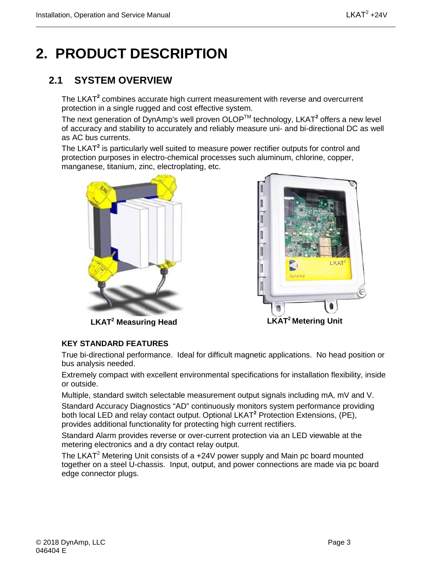## <span id="page-16-0"></span>**2. PRODUCT DESCRIPTION**

## <span id="page-16-1"></span>**2.1 SYSTEM OVERVIEW**

The LKAT**<sup>2</sup>** combines accurate high current measurement with reverse and overcurrent protection in a single rugged and cost effective system.

The next generation of DynAmp's well proven OLOPTM technology, LKAT**<sup>2</sup>** offers a new level of accuracy and stability to accurately and reliably measure uni- and bi-directional DC as well as AC bus currents.

The LKAT**<sup>2</sup>** is particularly well suited to measure power rectifier outputs for control and protection purposes in electro-chemical processes such aluminum, chlorine, copper, manganese, titanium, zinc, electroplating, etc.





**LKAT2 Measuring Head**

#### **KEY STANDARD FEATURES**

True bi-directional performance. Ideal for difficult magnetic applications. No head position or bus analysis needed.

Extremely compact with excellent environmental specifications for installation flexibility, inside or outside.

Multiple, standard switch selectable measurement output signals including mA, mV and V. Standard Accuracy Diagnostics "AD" continuously monitors system performance providing both local LED and relay contact output. Optional LKAT**<sup>2</sup>** Protection Extensions, (PE), provides additional functionality for protecting high current rectifiers.

Standard Alarm provides reverse or over-current protection via an LED viewable at the metering electronics and a dry contact relay output.

The LKAT<sup>2</sup> Metering Unit consists of a  $+24V$  power supply and Main pc board mounted together on a steel U-chassis. Input, output, and power connections are made via pc board edge connector plugs.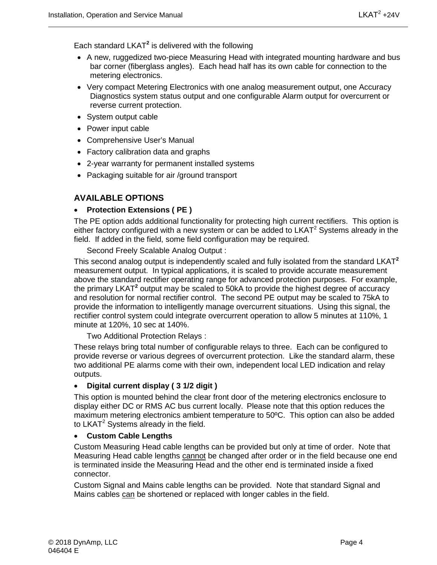Each standard LKAT**<sup>2</sup>** is delivered with the following

- A new, ruggedized two-piece Measuring Head with integrated mounting hardware and bus bar corner (fiberglass angles). Each head half has its own cable for connection to the metering electronics.
- Very compact Metering Electronics with one analog measurement output, one Accuracy Diagnostics system status output and one configurable Alarm output for overcurrent or reverse current protection.
- System output cable
- Power input cable
- Comprehensive User's Manual
- Factory calibration data and graphs
- 2-year warranty for permanent installed systems
- Packaging suitable for air /ground transport

#### **AVAILABLE OPTIONS**

#### • **Protection Extensions ( PE )**

The PE option adds additional functionality for protecting high current rectifiers. This option is either factory configured with a new system or can be added to  $LKAT<sup>2</sup>$  Systems already in the field. If added in the field, some field configuration may be required.

Second Freely Scalable Analog Output :

This second analog output is independently scaled and fully isolated from the standard LKAT**<sup>2</sup>** measurement output. In typical applications, it is scaled to provide accurate measurement above the standard rectifier operating range for advanced protection purposes. For example, the primary LKAT**<sup>2</sup>** output may be scaled to 50kA to provide the highest degree of accuracy and resolution for normal rectifier control. The second PE output may be scaled to 75kA to provide the information to intelligently manage overcurrent situations. Using this signal, the rectifier control system could integrate overcurrent operation to allow 5 minutes at 110%, 1 minute at 120%, 10 sec at 140%.

Two Additional Protection Relays :

These relays bring total number of configurable relays to three. Each can be configured to provide reverse or various degrees of overcurrent protection. Like the standard alarm, these two additional PE alarms come with their own, independent local LED indication and relay outputs.

#### • **Digital current display ( 3 1/2 digit )**

This option is mounted behind the clear front door of the metering electronics enclosure to display either DC or RMS AC bus current locally. Please note that this option reduces the maximum metering electronics ambient temperature to 50ºC. This option can also be added to LKAT<sup>2</sup> Systems already in the field.

#### • **Custom Cable Lengths**

Custom Measuring Head cable lengths can be provided but only at time of order. Note that Measuring Head cable lengths cannot be changed after order or in the field because one end is terminated inside the Measuring Head and the other end is terminated inside a fixed connector.

Custom Signal and Mains cable lengths can be provided. Note that standard Signal and Mains cables can be shortened or replaced with longer cables in the field.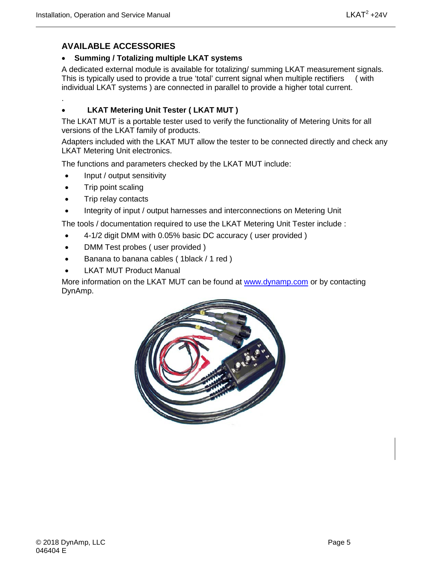.

#### **AVAILABLE ACCESSORIES**

#### • **Summing / Totalizing multiple LKAT systems**

A dedicated external module is available for totalizing/ summing LKAT measurement signals. This is typically used to provide a true 'total' current signal when multiple rectifiers ( with individual LKAT systems ) are connected in parallel to provide a higher total current.

#### • **LKAT Metering Unit Tester ( LKAT MUT )**

The LKAT MUT is a portable tester used to verify the functionality of Metering Units for all versions of the LKAT family of products.

Adapters included with the LKAT MUT allow the tester to be connected directly and check any LKAT Metering Unit electronics.

The functions and parameters checked by the LKAT MUT include:

- Input / output sensitivity
- Trip point scaling
- Trip relay contacts
- Integrity of input / output harnesses and interconnections on Metering Unit

The tools / documentation required to use the LKAT Metering Unit Tester include :

- 4-1/2 digit DMM with 0.05% basic DC accuracy ( user provided )
- DMM Test probes ( user provided )
- Banana to banana cables ( 1black / 1 red )
- **LKAT MUT Product Manual**

More information on the LKAT MUT can be found at [www.dynamp.com](http://www.dynamp.com/) or by contacting DynAmp.

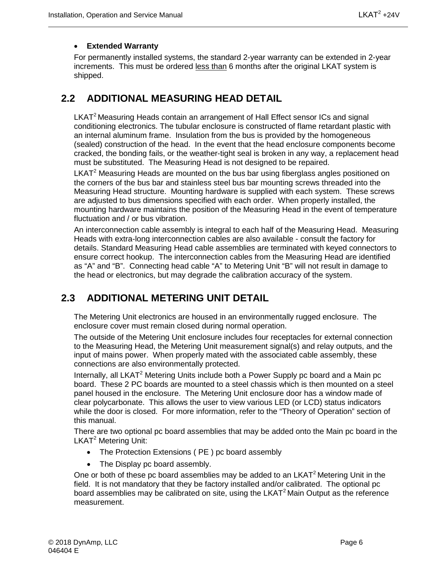#### • **Extended Warranty**

For permanently installed systems, the standard 2-year warranty can be extended in 2-year increments. This must be ordered less than 6 months after the original LKAT system is shipped.

### <span id="page-19-0"></span>**2.2 ADDITIONAL MEASURING HEAD DETAIL**

LKAT<sup>2</sup> Measuring Heads contain an arrangement of Hall Effect sensor ICs and signal conditioning electronics. The tubular enclosure is constructed of flame retardant plastic with an internal aluminum frame. Insulation from the bus is provided by the homogeneous (sealed) construction of the head. In the event that the head enclosure components become cracked, the bonding fails, or the weather-tight seal is broken in any way, a replacement head must be substituted. The Measuring Head is not designed to be repaired.

 $LKAT<sup>2</sup>$  Measuring Heads are mounted on the bus bar using fiberglass angles positioned on the corners of the bus bar and stainless steel bus bar mounting screws threaded into the Measuring Head structure. Mounting hardware is supplied with each system. These screws are adjusted to bus dimensions specified with each order. When properly installed, the mounting hardware maintains the position of the Measuring Head in the event of temperature fluctuation and / or bus vibration.

An interconnection cable assembly is integral to each half of the Measuring Head. Measuring Heads with extra-long interconnection cables are also available - consult the factory for details. Standard Measuring Head cable assemblies are terminated with keyed connectors to ensure correct hookup. The interconnection cables from the Measuring Head are identified as "A" and "B". Connecting head cable "A" to Metering Unit "B" will not result in damage to the head or electronics, but may degrade the calibration accuracy of the system.

## <span id="page-19-1"></span>**2.3 ADDITIONAL METERING UNIT DETAIL**

The Metering Unit electronics are housed in an environmentally rugged enclosure. The enclosure cover must remain closed during normal operation.

The outside of the Metering Unit enclosure includes four receptacles for external connection to the Measuring Head, the Metering Unit measurement signal(s) and relay outputs, and the input of mains power. When properly mated with the associated cable assembly, these connections are also environmentally protected.

Internally, all LKAT<sup>2</sup> Metering Units include both a Power Supply pc board and a Main pc board. These 2 PC boards are mounted to a steel chassis which is then mounted on a steel panel housed in the enclosure. The Metering Unit enclosure door has a window made of clear polycarbonate. This allows the user to view various LED (or LCD) status indicators while the door is closed. For more information, refer to the "Theory of Operation" section of this manual.

There are two optional pc board assemblies that may be added onto the Main pc board in the LKAT<sup>2</sup> Metering Unit:

- The Protection Extensions ( PE ) pc board assembly
- The Display pc board assembly.

One or both of these pc board assemblies may be added to an LKAT<sup>2</sup> Metering Unit in the field. It is not mandatory that they be factory installed and/or calibrated. The optional pc board assemblies may be calibrated on site, using the LKAT<sup>2</sup> Main Output as the reference measurement.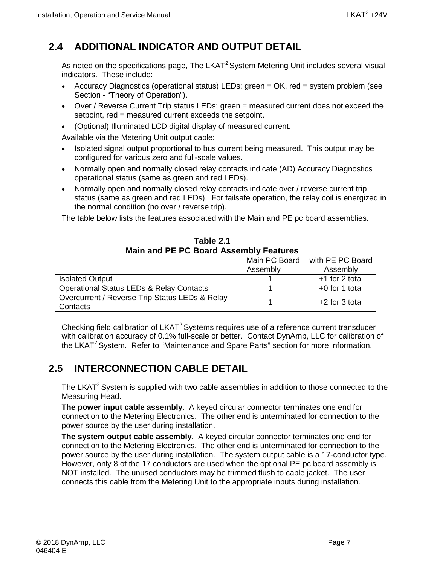## <span id="page-20-0"></span>**2.4 ADDITIONAL INDICATOR AND OUTPUT DETAIL**

As noted on the specifications page, The LKAT<sup>2</sup> System Metering Unit includes several visual indicators. These include:

- Accuracy Diagnostics (operational status) LEDs: green = OK, red = system problem (see Section - "Theory of Operation").
- Over / Reverse Current Trip status LEDs: green = measured current does not exceed the setpoint, red = measured current exceeds the setpoint.
- (Optional) Illuminated LCD digital display of measured current.

Available via the Metering Unit output cable:

- Isolated signal output proportional to bus current being measured. This output may be configured for various zero and full-scale values.
- Normally open and normally closed relay contacts indicate (AD) Accuracy Diagnostics operational status (same as green and red LEDs).
- Normally open and normally closed relay contacts indicate over / reverse current trip status (same as green and red LEDs). For failsafe operation, the relay coil is energized in the normal condition (no over / reverse trip).

The table below lists the features associated with the Main and PE pc board assemblies.

<span id="page-20-2"></span>

|                                                            | Main PC Board | with PE PC Board |  |  |  |  |
|------------------------------------------------------------|---------------|------------------|--|--|--|--|
|                                                            | Assembly      | Assembly         |  |  |  |  |
| <b>Isolated Output</b>                                     |               | +1 for 2 total   |  |  |  |  |
| <b>Operational Status LEDs &amp; Relay Contacts</b>        |               | $+0$ for 1 total |  |  |  |  |
| Overcurrent / Reverse Trip Status LEDs & Relay<br>Contacts |               | $+2$ for 3 total |  |  |  |  |

**Table 2.1 Main and PE PC Board Assembly Features**

Checking field calibration of LKAT<sup>2</sup> Systems requires use of a reference current transducer with calibration accuracy of 0.1% full-scale or better. Contact DynAmp, LLC for calibration of the LKAT<sup>2</sup> System. Refer to "Maintenance and Spare Parts" section for more information.

## <span id="page-20-1"></span>**2.5 INTERCONNECTION CABLE DETAIL**

The LKAT<sup>2</sup> System is supplied with two cable assemblies in addition to those connected to the Measuring Head.

**The power input cable assembly**. A keyed circular connector terminates one end for connection to the Metering Electronics. The other end is unterminated for connection to the power source by the user during installation.

**The system output cable assembly**. A keyed circular connector terminates one end for connection to the Metering Electronics. The other end is unterminated for connection to the power source by the user during installation. The system output cable is a 17-conductor type. However, only 8 of the 17 conductors are used when the optional PE pc board assembly is NOT installed. The unused conductors may be trimmed flush to cable jacket. The user connects this cable from the Metering Unit to the appropriate inputs during installation.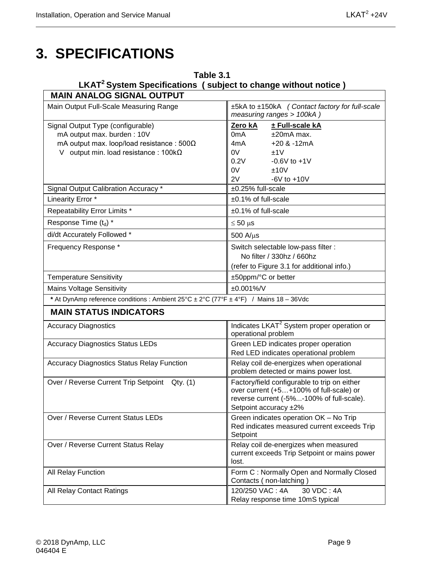## <span id="page-22-0"></span>**3. SPECIFICATIONS**

<span id="page-22-1"></span>

| Table 3.1<br>LKAT <sup>2</sup> System Specifications (subject to change without notice)                                                                              |                                                                                                                                                               |  |  |
|----------------------------------------------------------------------------------------------------------------------------------------------------------------------|---------------------------------------------------------------------------------------------------------------------------------------------------------------|--|--|
| <b>MAIN ANALOG SIGNAL OUTPUT</b>                                                                                                                                     |                                                                                                                                                               |  |  |
| Main Output Full-Scale Measuring Range                                                                                                                               | ±5kA to ±150kA (Contact factory for full-scale<br>measuring ranges > 100kA)                                                                                   |  |  |
| Signal Output Type (configurable)<br>mA output max. burden: 10V<br>mA output max. loop/load resistance : $500\Omega$<br>V output min. load resistance : $100k\Omega$ | Zero kA<br>± Full-scale kA<br>$±20mA$ max.<br>0mA<br>$+20$ & $-12mA$<br>4mA<br>0V<br>±1V<br>0.2V<br>$-0.6V$ to $+1V$<br>0V<br>±10V<br>2V<br>$-6V$ to $+10V$   |  |  |
| Signal Output Calibration Accuracy *                                                                                                                                 | ±0.25% full-scale                                                                                                                                             |  |  |
| Linearity Error *                                                                                                                                                    | ±0.1% of full-scale                                                                                                                                           |  |  |
| Repeatability Error Limits *                                                                                                                                         | $±0.1\%$ of full-scale                                                                                                                                        |  |  |
| Response Time (t <sub>d</sub> ) *                                                                                                                                    | $\leq 50$ µs                                                                                                                                                  |  |  |
| di/dt Accurately Followed *                                                                                                                                          | $500$ A/ $\mu$ s                                                                                                                                              |  |  |
| Frequency Response *                                                                                                                                                 | Switch selectable low-pass filter :<br>No filter / 330hz / 660hz<br>(refer to Figure 3.1 for additional info.)                                                |  |  |
| <b>Temperature Sensitivity</b>                                                                                                                                       | ±50ppm/°C or better                                                                                                                                           |  |  |
| <b>Mains Voltage Sensitivity</b>                                                                                                                                     | ±0.001%/V                                                                                                                                                     |  |  |
| * At DynAmp reference conditions : Ambient 25°C ± 2°C (77°F ± 4°F) / Mains 18 - 36Vdc                                                                                |                                                                                                                                                               |  |  |
| <b>MAIN STATUS INDICATORS</b>                                                                                                                                        |                                                                                                                                                               |  |  |
| <b>Accuracy Diagnostics</b>                                                                                                                                          | Indicates LKAT <sup>2</sup> System proper operation or<br>operational problem                                                                                 |  |  |
| <b>Accuracy Diagnostics Status LEDs</b>                                                                                                                              | Green LED indicates proper operation<br>Red LED indicates operational problem                                                                                 |  |  |
| <b>Accuracy Diagnostics Status Relay Function</b>                                                                                                                    | Relay coil de-energizes when operational<br>problem detected or mains power lost.                                                                             |  |  |
| Over / Reverse Current Trip Setpoint Qty. (1)                                                                                                                        | Factory/field configurable to trip on either<br>over current (+5+100% of full-scale) or<br>reverse current (-5%-100% of full-scale).<br>Setpoint accuracy ±2% |  |  |
| Over / Reverse Current Status LEDs                                                                                                                                   | Green indicates operation OK - No Trip<br>Red indicates measured current exceeds Trip<br>Setpoint                                                             |  |  |
| Over / Reverse Current Status Relay                                                                                                                                  | Relay coil de-energizes when measured<br>current exceeds Trip Setpoint or mains power<br>lost.                                                                |  |  |
| All Relay Function                                                                                                                                                   | Form C: Normally Open and Normally Closed<br>Contacts (non-latching)                                                                                          |  |  |
| All Relay Contact Ratings                                                                                                                                            | 120/250 VAC: 4A<br>30 VDC: 4A<br>Relay response time 10mS typical                                                                                             |  |  |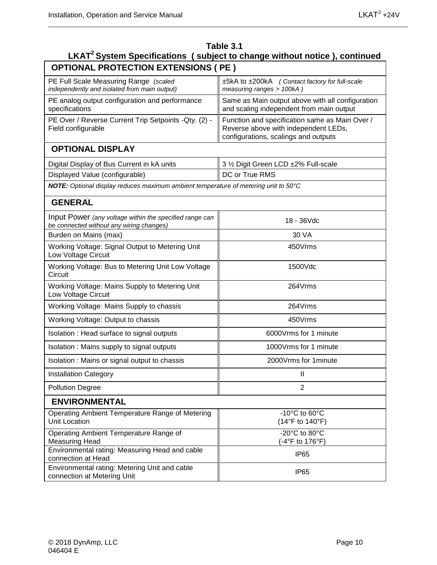| Table 3.1<br>LKAT <sup>2</sup> System Specifications (subject to change without notice), continued  |                                                                                                                                |  |  |  |  |  |
|-----------------------------------------------------------------------------------------------------|--------------------------------------------------------------------------------------------------------------------------------|--|--|--|--|--|
| <b>OPTIONAL PROTECTION EXTENSIONS ( PE )</b>                                                        |                                                                                                                                |  |  |  |  |  |
| PE Full Scale Measuring Range (scaled<br>independently and isolated from main output)               | ±5kA to ±200kA (Contact factory for full-scale<br>measuring ranges > 100kA)                                                    |  |  |  |  |  |
| PE analog output configuration and performance<br>specifications                                    | Same as Main output above with all configuration<br>and scaling independent from main output                                   |  |  |  |  |  |
| PE Over / Reverse Current Trip Setpoints - Qty. (2) -<br>Field configurable                         | Function and specification same as Main Over /<br>Reverse above with independent LEDs,<br>configurations, scalings and outputs |  |  |  |  |  |
| <b>OPTIONAL DISPLAY</b>                                                                             |                                                                                                                                |  |  |  |  |  |
| Digital Display of Bus Current in kA units                                                          | 3 1/2 Digit Green LCD ±2% Full-scale                                                                                           |  |  |  |  |  |
| Displayed Value (configurable)                                                                      | DC or True RMS                                                                                                                 |  |  |  |  |  |
| NOTE: Optional display reduces maximum ambient temperature of metering unit to 50°C                 |                                                                                                                                |  |  |  |  |  |
| <b>GENERAL</b>                                                                                      |                                                                                                                                |  |  |  |  |  |
| Input Power (any voltage within the specified range can<br>be connected without any wiring changes) | 18 - 36Vdc                                                                                                                     |  |  |  |  |  |
| Burden on Mains (max)                                                                               | 30 VA                                                                                                                          |  |  |  |  |  |
| Working Voltage: Signal Output to Metering Unit<br>Low Voltage Circuit                              | 450Vrms                                                                                                                        |  |  |  |  |  |
| Working Voltage: Bus to Metering Unit Low Voltage<br>Circuit                                        | 1500Vdc                                                                                                                        |  |  |  |  |  |
| Working Voltage: Mains Supply to Metering Unit<br>Low Voltage Circuit                               | 264Vrms                                                                                                                        |  |  |  |  |  |
| Working Voltage: Mains Supply to chassis                                                            | 264Vrms                                                                                                                        |  |  |  |  |  |
| Working Voltage: Output to chassis                                                                  | 450Vrms                                                                                                                        |  |  |  |  |  |
| Isolation: Head surface to signal outputs                                                           | 6000 Vrms for 1 minute                                                                                                         |  |  |  |  |  |
| Isolation : Mains supply to signal outputs                                                          | 1000Vrms for 1 minute                                                                                                          |  |  |  |  |  |
| Isolation: Mains or signal output to chassis                                                        | 2000Vrms for 1minute                                                                                                           |  |  |  |  |  |
| <b>Installation Category</b>                                                                        | $\mathbf{H}$                                                                                                                   |  |  |  |  |  |
| <b>Pollution Degree</b>                                                                             | $\overline{2}$                                                                                                                 |  |  |  |  |  |
| <b>ENVIRONMENTAL</b>                                                                                |                                                                                                                                |  |  |  |  |  |
| Operating Ambient Temperature Range of Metering<br><b>Unit Location</b>                             | -10 $^{\circ}$ C to 60 $^{\circ}$ C<br>$(14^{\circ}F \text{ to } 140^{\circ}F)$                                                |  |  |  |  |  |
| Operating Ambient Temperature Range of<br><b>Measuring Head</b>                                     | -20°C to 80°C<br>(-4°F to 176°F)                                                                                               |  |  |  |  |  |
| Environmental rating: Measuring Head and cable<br>connection at Head                                | IP <sub>65</sub>                                                                                                               |  |  |  |  |  |
| Environmental rating: Metering Unit and cable<br>connection at Metering Unit                        | IP <sub>65</sub>                                                                                                               |  |  |  |  |  |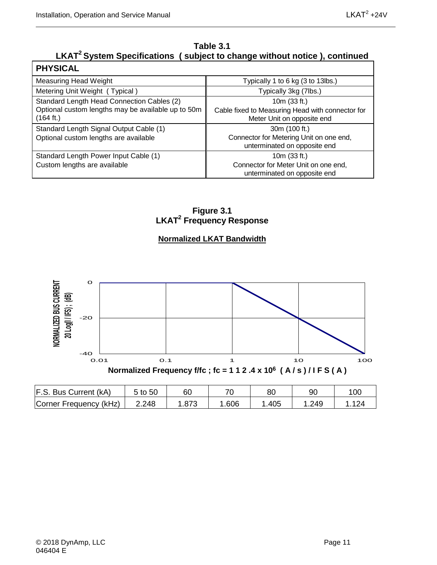#### **Table 3.1** LKAT<sup>2</sup> System Specifications ( subject to change without notice ), continued

| <b>PHYSICAL</b>                                                 |                                                                                |
|-----------------------------------------------------------------|--------------------------------------------------------------------------------|
| <b>Measuring Head Weight</b>                                    | Typically 1 to 6 kg (3 to 13lbs.)                                              |
| Metering Unit Weight (Typical)                                  | Typically 3kg (7lbs.)                                                          |
| Standard Length Head Connection Cables (2)                      | 10m (33 ft.)                                                                   |
| Optional custom lengths may be available up to 50m<br>(164 ft.) | Cable fixed to Measuring Head with connector for<br>Meter Unit on opposite end |
| Standard Length Signal Output Cable (1)                         | 30m (100 ft.)                                                                  |
| Optional custom lengths are available                           | Connector for Metering Unit on one end,<br>unterminated on opposite end        |
| Standard Length Power Input Cable (1)                           | 10m (33 ft.)                                                                   |
| Custom lengths are available                                    | Connector for Meter Unit on one end,<br>unterminated on opposite end           |

**Figure 3.1 LKAT2 Frequency Response**

#### **Normalized LKAT Bandwidth**

<span id="page-24-0"></span>

| F.S. Bus Current (kA)  | 5 to 50 | 60   |      | 80   | 90   | 10 <sub>C</sub> |
|------------------------|---------|------|------|------|------|-----------------|
| Corner Frequency (kHz) | 2.248   | .873 | .606 | .405 | .249 |                 |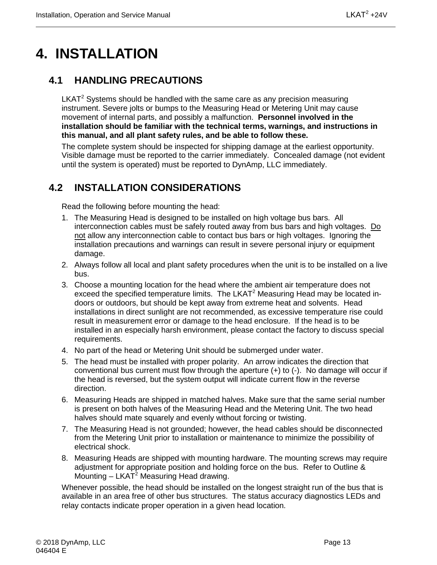## <span id="page-26-0"></span>**4. INSTALLATION**

## <span id="page-26-1"></span>**4.1 HANDLING PRECAUTIONS**

 $LKAT<sup>2</sup>$  Systems should be handled with the same care as any precision measuring instrument. Severe jolts or bumps to the Measuring Head or Metering Unit may cause movement of internal parts, and possibly a malfunction. **Personnel involved in the installation should be familiar with the technical terms, warnings, and instructions in this manual, and all plant safety rules, and be able to follow these.**

The complete system should be inspected for shipping damage at the earliest opportunity. Visible damage must be reported to the carrier immediately. Concealed damage (not evident until the system is operated) must be reported to DynAmp, LLC immediately.

## <span id="page-26-2"></span>**4.2 INSTALLATION CONSIDERATIONS**

Read the following before mounting the head:

- 1. The Measuring Head is designed to be installed on high voltage bus bars. All interconnection cables must be safely routed away from bus bars and high voltages. Do not allow any interconnection cable to contact bus bars or high voltages. Ignoring the installation precautions and warnings can result in severe personal injury or equipment damage.
- 2. Always follow all local and plant safety procedures when the unit is to be installed on a live bus.
- 3. Choose a mounting location for the head where the ambient air temperature does not exceed the specified temperature limits. The LKAT<sup>2</sup> Measuring Head may be located indoors or outdoors, but should be kept away from extreme heat and solvents. Head installations in direct sunlight are not recommended, as excessive temperature rise could result in measurement error or damage to the head enclosure. If the head is to be installed in an especially harsh environment, please contact the factory to discuss special requirements.
- 4. No part of the head or Metering Unit should be submerged under water.
- 5. The head must be installed with proper polarity. An arrow indicates the direction that conventional bus current must flow through the aperture (+) to (-). No damage will occur if the head is reversed, but the system output will indicate current flow in the reverse direction.
- 6. Measuring Heads are shipped in matched halves. Make sure that the same serial number is present on both halves of the Measuring Head and the Metering Unit. The two head halves should mate squarely and evenly without forcing or twisting.
- 7. The Measuring Head is not grounded; however, the head cables should be disconnected from the Metering Unit prior to installation or maintenance to minimize the possibility of electrical shock.
- 8. Measuring Heads are shipped with mounting hardware. The mounting screws may require adjustment for appropriate position and holding force on the bus. Refer to Outline & Mounting  $-$  LKAT<sup>2</sup> Measuring Head drawing.

Whenever possible, the head should be installed on the longest straight run of the bus that is available in an area free of other bus structures. The status accuracy diagnostics LEDs and relay contacts indicate proper operation in a given head location.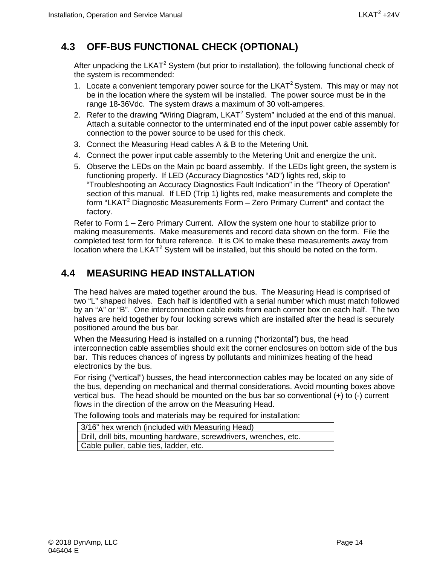## <span id="page-27-0"></span>**4.3 OFF-BUS FUNCTIONAL CHECK (OPTIONAL)**

After unpacking the LKAT<sup>2</sup> System (but prior to installation), the following functional check of the system is recommended:

- 1. Locate a convenient temporary power source for the LKAT<sup>2</sup> System. This may or may not be in the location where the system will be installed. The power source must be in the range 18-36Vdc. The system draws a maximum of 30 volt-amperes.
- 2. Refer to the drawing "Wiring Diagram, LKAT<sup>2</sup> System" included at the end of this manual. Attach a suitable connector to the unterminated end of the input power cable assembly for connection to the power source to be used for this check.
- 3. Connect the Measuring Head cables A & B to the Metering Unit.
- 4. Connect the power input cable assembly to the Metering Unit and energize the unit.
- 5. Observe the LEDs on the Main pc board assembly. If the LEDs light green, the system is functioning properly. If LED (Accuracy Diagnostics "AD") lights red, skip to "Troubleshooting an Accuracy Diagnostics Fault Indication" in the "Theory of Operation" section of this manual. If LED (Trip 1) lights red, make measurements and complete the form "LKAT<sup>2</sup> Diagnostic Measurements Form  $-$  Zero Primary Current" and contact the factory.

Refer to Form 1 – Zero Primary Current. Allow the system one hour to stabilize prior to making measurements. Make measurements and record data shown on the form. File the completed test form for future reference. It is OK to make these measurements away from location where the LKAT $^2$  System will be installed, but this should be noted on the form.

### <span id="page-27-1"></span>**4.4 MEASURING HEAD INSTALLATION**

The head halves are mated together around the bus. The Measuring Head is comprised of two "L" shaped halves. Each half is identified with a serial number which must match followed by an "A" or "B". One interconnection cable exits from each corner box on each half. The two halves are held together by four locking screws which are installed after the head is securely positioned around the bus bar.

When the Measuring Head is installed on a running ("horizontal") bus, the head interconnection cable assemblies should exit the corner enclosures on bottom side of the bus bar. This reduces chances of ingress by pollutants and minimizes heating of the head electronics by the bus.

For rising ("vertical") busses, the head interconnection cables may be located on any side of the bus, depending on mechanical and thermal considerations. Avoid mounting boxes above vertical bus. The head should be mounted on the bus bar so conventional (+) to (-) current flows in the direction of the arrow on the Measuring Head.

The following tools and materials may be required for installation:

| 3/16" hex wrench (included with Measuring Head)                    |
|--------------------------------------------------------------------|
| Drill, drill bits, mounting hardware, screwdrivers, wrenches, etc. |
| Cable puller, cable ties, ladder, etc.                             |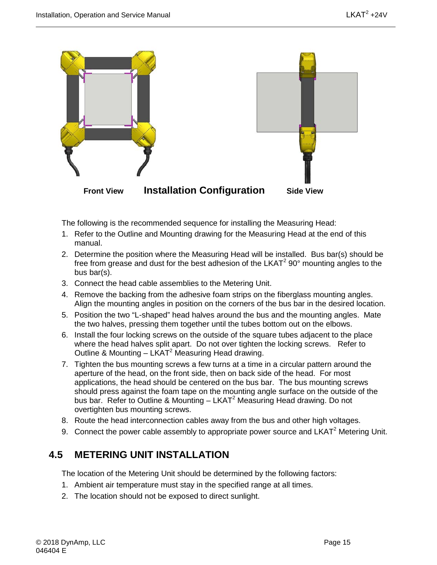

The following is the recommended sequence for installing the Measuring Head:

- 1. Refer to the Outline and Mounting drawing for the Measuring Head at the end of this manual.
- 2. Determine the position where the Measuring Head will be installed. Bus bar(s) should be free from grease and dust for the best adhesion of the LKAT<sup>2</sup> 90 $^{\circ}$  mounting angles to the bus bar(s).
- 3. Connect the head cable assemblies to the Metering Unit.
- 4. Remove the backing from the adhesive foam strips on the fiberglass mounting angles. Align the mounting angles in position on the corners of the bus bar in the desired location.
- 5. Position the two "L-shaped" head halves around the bus and the mounting angles. Mate the two halves, pressing them together until the tubes bottom out on the elbows.
- 6. Install the four locking screws on the outside of the square tubes adjacent to the place where the head halves split apart. Do not over tighten the locking screws. Refer to Outline & Mounting  $-$  LKAT<sup>2</sup> Measuring Head drawing.
- 7. Tighten the bus mounting screws a few turns at a time in a circular pattern around the aperture of the head, on the front side, then on back side of the head. For most applications, the head should be centered on the bus bar. The bus mounting screws should press against the foam tape on the mounting angle surface on the outside of the bus bar. Refer to Outline & Mounting  $-$  LKAT<sup>2</sup> Measuring Head drawing. Do not overtighten bus mounting screws.
- 8. Route the head interconnection cables away from the bus and other high voltages.
- 9. Connect the power cable assembly to appropriate power source and LKAT<sup>2</sup> Metering Unit.

### <span id="page-28-0"></span>**4.5 METERING UNIT INSTALLATION**

The location of the Metering Unit should be determined by the following factors:

- 1. Ambient air temperature must stay in the specified range at all times.
- 2. The location should not be exposed to direct sunlight.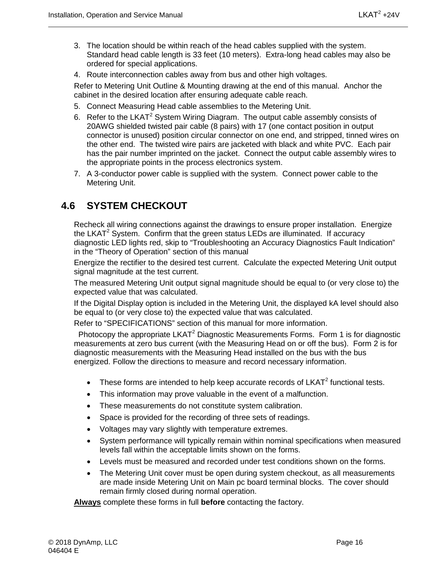- 3. The location should be within reach of the head cables supplied with the system. Standard head cable length is 33 feet (10 meters). Extra-long head cables may also be ordered for special applications.
- 4. Route interconnection cables away from bus and other high voltages.

Refer to Metering Unit Outline & Mounting drawing at the end of this manual. Anchor the cabinet in the desired location after ensuring adequate cable reach.

- 5. Connect Measuring Head cable assemblies to the Metering Unit.
- 6. Refer to the LKAT<sup>2</sup> System Wiring Diagram. The output cable assembly consists of 20AWG shielded twisted pair cable (8 pairs) with 17 (one contact position in output connector is unused) position circular connector on one end, and stripped, tinned wires on the other end. The twisted wire pairs are jacketed with black and white PVC. Each pair has the pair number imprinted on the jacket. Connect the output cable assembly wires to the appropriate points in the process electronics system.
- 7. A 3-conductor power cable is supplied with the system. Connect power cable to the Metering Unit.

### <span id="page-29-0"></span>**4.6 SYSTEM CHECKOUT**

Recheck all wiring connections against the drawings to ensure proper installation. Energize the LKAT<sup>2</sup> System. Confirm that the green status LEDs are illuminated. If accuracy diagnostic LED lights red, skip to "Troubleshooting an Accuracy Diagnostics Fault Indication" in the "Theory of Operation" section of this manual

Energize the rectifier to the desired test current. Calculate the expected Metering Unit output signal magnitude at the test current.

The measured Metering Unit output signal magnitude should be equal to (or very close to) the expected value that was calculated.

If the Digital Display option is included in the Metering Unit, the displayed kA level should also be equal to (or very close to) the expected value that was calculated.

Refer to "SPECIFICATIONS" section of this manual for more information.

Photocopy the appropriate  $LKAT^2$  Diagnostic Measurements Forms. Form 1 is for diagnostic measurements at zero bus current (with the Measuring Head on or off the bus). Form 2 is for diagnostic measurements with the Measuring Head installed on the bus with the bus energized. Follow the directions to measure and record necessary information.

- These forms are intended to help keep accurate records of  $LKAT<sup>2</sup>$  functional tests.
- This information may prove valuable in the event of a malfunction.
- These measurements do not constitute system calibration.
- Space is provided for the recording of three sets of readings.
- Voltages may vary slightly with temperature extremes.
- System performance will typically remain within nominal specifications when measured levels fall within the acceptable limits shown on the forms.
- Levels must be measured and recorded under test conditions shown on the forms.
- The Metering Unit cover must be open during system checkout, as all measurements are made inside Metering Unit on Main pc board terminal blocks. The cover should remain firmly closed during normal operation.

**Always** complete these forms in full **before** contacting the factory.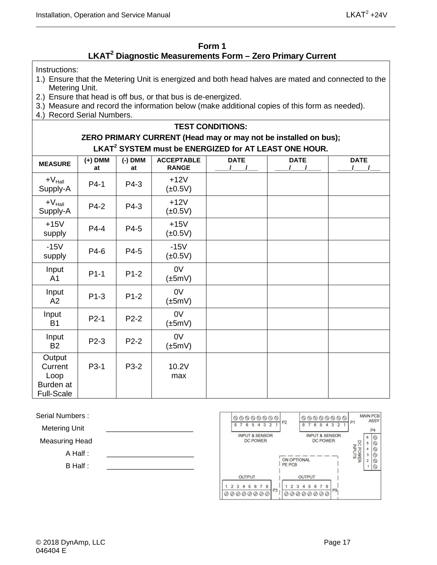#### **Form 1 LKAT2 Diagnostic Measurements Form – Zero Primary Current**

<span id="page-30-0"></span>Instructions:

- 1.) Ensure that the Metering Unit is energized and both head halves are mated and connected to the Metering Unit.
- 2.) Ensure that head is off bus, or that bus is de-energized.
- 3.) Measure and record the information below (make additional copies of this form as needed).
- 4.) Record Serial Numbers.

#### **TEST CONDITIONS: ZERO PRIMARY CURRENT (Head may or may not be installed on bus); LKAT2 SYSTEM must be ENERGIZED for AT LEAST ONE HOUR.**

| <b>MEASURE</b>                                              | $(+)$ DMM<br>at   | $(-)$ DMM<br>at | <b>ACCEPTABLE</b><br><b>RANGE</b> | <b>DATE</b> | <b>DATE</b> | <b>DATE</b> |
|-------------------------------------------------------------|-------------------|-----------------|-----------------------------------|-------------|-------------|-------------|
| $+V_{\text{Hall}}$<br>Supply-A                              | $P4-1$            | P4-3            | $+12V$<br>$(\pm 0.5V)$            |             |             |             |
| $+V_{\text{Hall}}$<br>Supply-A                              | P4-2              | P4-3            | $+12V$<br>$(\pm 0.5V)$            |             |             |             |
| $+15V$<br>supply                                            | $P4-4$            | P4-5            | $+15V$<br>$(\pm 0.5V)$            |             |             |             |
| $-15V$<br>supply                                            | P4-6              | P4-5            | $-15V$<br>$(\pm 0.5V)$            |             |             |             |
| Input<br>A <sub>1</sub>                                     | $P1-1$            | $P1-2$          | 0V<br>$(\pm 5mV)$                 |             |             |             |
| Input<br>A2                                                 | $P1-3$            | $P1-2$          | 0V<br>$(\pm 5mV)$                 |             |             |             |
| Input<br><b>B1</b>                                          | $P2-1$            | $P2-2$          | 0V<br>$(\pm 5mV)$                 |             |             |             |
| Input<br><b>B2</b>                                          | P2-3              | $P2-2$          | 0V<br>$(\pm 5mV)$                 |             |             |             |
| Output<br>Current<br>Loop<br>Burden at<br><b>Full-Scale</b> | P <sub>3</sub> -1 | P3-2            | 10.2V<br>max                      |             |             |             |

Serial Numbers :

Metering Unit

Measuring Head

A Half :

B Half :

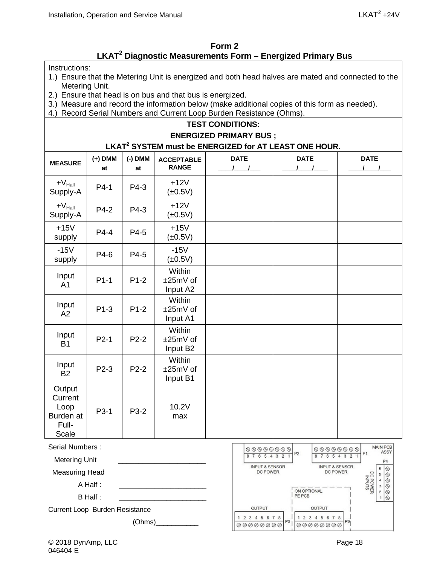#### **Form 2 LKAT2 Diagnostic Measurements Form – Energized Primary Bus**

<span id="page-31-0"></span>Instructions:

- 1.) Ensure that the Metering Unit is energized and both head halves are mated and connected to the Metering Unit.
- 2.) Ensure that head is on bus and that bus is energized.
- 3.) Measure and record the information below (make additional copies of this form as needed).
- 4.) Record Serial Numbers and Current Loop Burden Resistance (Ohms).

#### **TEST CONDITIONS: ENERGIZED PRIMARY BUS ;**

#### **LKAT2 SYSTEM must be ENERGIZED for AT LEAST ONE HOUR.**

| <b>MEASURE</b>                                           | $(+)$ DMM<br>at   | $(-)$ DMM<br>at | <b>ACCEPTABLE</b><br><b>RANGE</b> | <b>DATE</b><br>$1 \quad 1$ | <b>DATE</b> | <b>DATE</b><br>$\sqrt{1}$ |
|----------------------------------------------------------|-------------------|-----------------|-----------------------------------|----------------------------|-------------|---------------------------|
| $+V_{\text{Hall}}$<br>Supply-A                           | $P4-1$            | P4-3            | $+12V$<br>$(\pm 0.5V)$            |                            |             |                           |
| $+V_{\text{Hall}}$<br>Supply-A                           | $P4-2$            | P4-3            | $+12V$<br>$(\pm 0.5V)$            |                            |             |                           |
| $+15V$<br>supply                                         | $P4-4$            | P4-5            | $+15V$<br>$(\pm 0.5V)$            |                            |             |                           |
| $-15V$<br>supply                                         | P4-6              | P4-5            | $-15V$<br>$(\pm 0.5V)$            |                            |             |                           |
| Input<br>A <sub>1</sub>                                  | $P1-1$            | $P1-2$          | Within<br>±25mV of<br>Input A2    |                            |             |                           |
| Input<br>A2                                              | $P1-3$            | $P1-2$          | Within<br>±25mV of<br>Input A1    |                            |             |                           |
| Input<br><b>B1</b>                                       | $P2-1$            | $P2-2$          | Within<br>±25mV of<br>Input B2    |                            |             |                           |
| Input<br><b>B2</b>                                       | $P2-3$            | $P2-2$          | Within<br>±25mV of<br>Input B1    |                            |             |                           |
| Output<br>Current<br>Loop<br>Burden at<br>Full-<br>Scale | P <sub>3</sub> -1 | P3-2            | 10.2V<br>max                      |                            |             |                           |

Serial Numbers :

Metering Unit

Measuring Head

A Half :

B Half :

Current Loop Burden Resistance

 $(Ohms)$ 

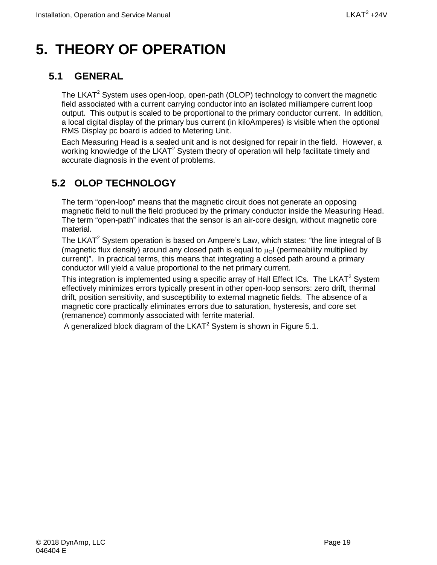## <span id="page-32-0"></span>**5. THEORY OF OPERATION**

## <span id="page-32-1"></span>**5.1 GENERAL**

The LKAT<sup>2</sup> System uses open-loop, open-path (OLOP) technology to convert the magnetic field associated with a current carrying conductor into an isolated milliampere current loop output. This output is scaled to be proportional to the primary conductor current. In addition, a local digital display of the primary bus current (in kiloAmperes) is visible when the optional RMS Display pc board is added to Metering Unit.

Each Measuring Head is a sealed unit and is not designed for repair in the field. However, a working knowledge of the LKAT<sup>2</sup> System theory of operation will help facilitate timely and accurate diagnosis in the event of problems.

## <span id="page-32-2"></span>**5.2 OLOP TECHNOLOGY**

The term "open-loop" means that the magnetic circuit does not generate an opposing magnetic field to null the field produced by the primary conductor inside the Measuring Head. The term "open-path" indicates that the sensor is an air-core design, without magnetic core material.

The LKAT<sup>2</sup> System operation is based on Ampere's Law, which states: "the line integral of B (magnetic flux density) around any closed path is equal to  $\mu_0$  (permeability multiplied by current)". In practical terms, this means that integrating a closed path around a primary conductor will yield a value proportional to the net primary current.

This integration is implemented using a specific array of Hall Effect ICs. The LKAT<sup>2</sup> System effectively minimizes errors typically present in other open-loop sensors: zero drift, thermal drift, position sensitivity, and susceptibility to external magnetic fields. The absence of a magnetic core practically eliminates errors due to saturation, hysteresis, and core set (remanence) commonly associated with ferrite material.

A generalized block diagram of the LKAT<sup>2</sup> System is shown in Figure 5.1.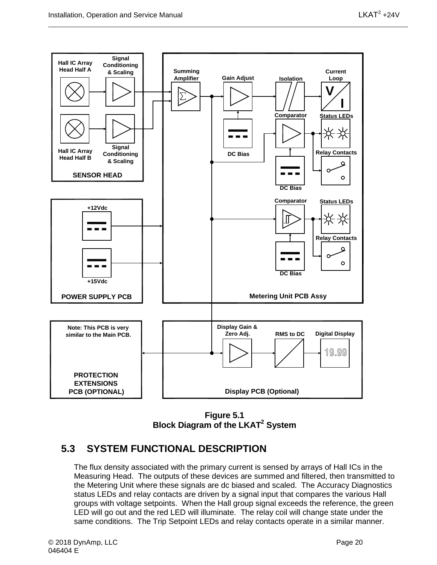

**Figure 5.1 Block Diagram of the LKAT2 System**

### <span id="page-33-1"></span><span id="page-33-0"></span>**5.3 SYSTEM FUNCTIONAL DESCRIPTION**

The flux density associated with the primary current is sensed by arrays of Hall ICs in the Measuring Head. The outputs of these devices are summed and filtered, then transmitted to the Metering Unit where these signals are dc biased and scaled. The Accuracy Diagnostics status LEDs and relay contacts are driven by a signal input that compares the various Hall groups with voltage setpoints. When the Hall group signal exceeds the reference, the green LED will go out and the red LED will illuminate. The relay coil will change state under the same conditions. The Trip Setpoint LEDs and relay contacts operate in a similar manner.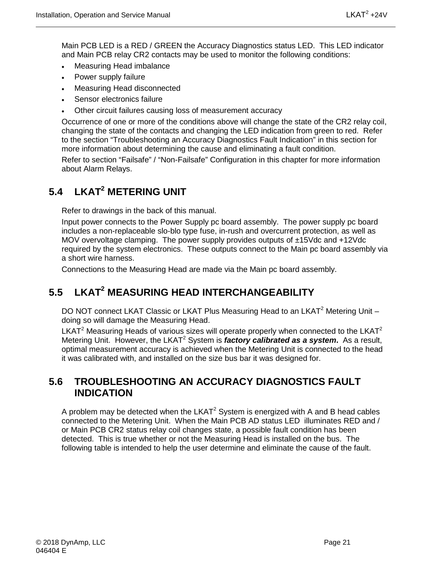Main PCB LED is a RED / GREEN the Accuracy Diagnostics status LED. This LED indicator and Main PCB relay CR2 contacts may be used to monitor the following conditions:

- Measuring Head imbalance
- Power supply failure
- Measuring Head disconnected
- Sensor electronics failure
- Other circuit failures causing loss of measurement accuracy

Occurrence of one or more of the conditions above will change the state of the CR2 relay coil, changing the state of the contacts and changing the LED indication from green to red. Refer to the section "Troubleshooting an Accuracy Diagnostics Fault Indication" in this section for more information about determining the cause and eliminating a fault condition.

Refer to section "Failsafe" / "Non-Failsafe" Configuration in this chapter for more information about Alarm Relays.

## <span id="page-34-0"></span>**5.4 LKAT2 METERING UNIT**

Refer to drawings in the back of this manual.

Input power connects to the Power Supply pc board assembly. The power supply pc board includes a non-replaceable slo-blo type fuse, in-rush and overcurrent protection, as well as MOV overvoltage clamping. The power supply provides outputs of ±15Vdc and +12Vdc required by the system electronics. These outputs connect to the Main pc board assembly via a short wire harness.

Connections to the Measuring Head are made via the Main pc board assembly.

## <span id="page-34-1"></span>**5.5 LKAT2 MEASURING HEAD INTERCHANGEABILITY**

DO NOT connect LKAT Classic or LKAT Plus Measuring Head to an LKAT<sup>2</sup> Metering Unit doing so will damage the Measuring Head.

LKAT<sup>2</sup> Measuring Heads of various sizes will operate properly when connected to the LKAT<sup>2</sup> Metering Unit. However, the LKAT<sup>2</sup> System is *factory calibrated as a system*. As a result, optimal measurement accuracy is achieved when the Metering Unit is connected to the head it was calibrated with, and installed on the size bus bar it was designed for.

#### <span id="page-34-2"></span>**5.6 TROUBLESHOOTING AN ACCURACY DIAGNOSTICS FAULT INDICATION**

A problem may be detected when the  $LKAT^2$  System is energized with A and B head cables connected to the Metering Unit. When the Main PCB AD status LED illuminates RED and / or Main PCB CR2 status relay coil changes state, a possible fault condition has been detected. This is true whether or not the Measuring Head is installed on the bus. The following table is intended to help the user determine and eliminate the cause of the fault.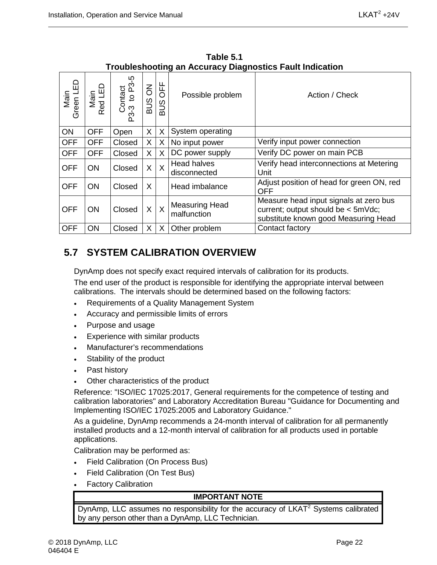| <u>HoublesHoothig an Accuracy Diagnosites Fault Indication</u> |                                     |                              |          |                                      |                                                                                                                      |  |
|----------------------------------------------------------------|-------------------------------------|------------------------------|----------|--------------------------------------|----------------------------------------------------------------------------------------------------------------------|--|
| G<br>Main<br>Red LE                                            | ഥ<br>Contact<br>$-3$ to P3-<br>P3-3 | $\overline{6}$<br><b>BUS</b> | OFF      | Possible problem                     | Action / Check                                                                                                       |  |
| <b>OFF</b>                                                     | Open                                | $\sf X$                      | X        | System operating                     |                                                                                                                      |  |
| <b>OFF</b>                                                     | Closed                              | $\sf X$                      | Χ        | No input power                       | Verify input power connection                                                                                        |  |
| <b>OFF</b>                                                     | Closed                              | $\sf X$                      | X        | DC power supply                      | Verify DC power on main PCB                                                                                          |  |
| <b>ON</b>                                                      | Closed                              | X                            | $\times$ | <b>Head halves</b><br>disconnected   | Verify head interconnections at Metering<br>Unit                                                                     |  |
| <b>ON</b>                                                      | Closed                              | $\sf X$                      |          | Head imbalance                       | Adjust position of head for green ON, red<br><b>OFF</b>                                                              |  |
| ON                                                             | Closed                              | $\mathsf{X}$                 | $\times$ | <b>Measuring Head</b><br>malfunction | Measure head input signals at zero bus<br>current; output should be < 5mVdc;<br>substitute known good Measuring Head |  |
| ON                                                             | Closed                              | $\sf X$                      | X        | Other problem                        | Contact factory                                                                                                      |  |
|                                                                |                                     |                              |          |                                      |                                                                                                                      |  |

<span id="page-35-1"></span>**Table 5.1 Troubleshooting an Accuracy Diagnostics Fault Indication** 

## <span id="page-35-0"></span>**5.7 SYSTEM CALIBRATION OVERVIEW**

DynAmp does not specify exact required intervals of calibration for its products.

The end user of the product is responsible for identifying the appropriate interval between calibrations. The intervals should be determined based on the following factors:

- Requirements of a Quality Management System
- Accuracy and permissible limits of errors
- Purpose and usage
- Experience with similar products
- Manufacturer's recommendations
- Stability of the product
- Past history
- Other characteristics of the product

Reference: "ISO/IEC 17025:2017, General requirements for the competence of testing and calibration laboratories" and Laboratory Accreditation Bureau "Guidance for Documenting and Implementing ISO/IEC 17025:2005 and Laboratory Guidance."

As a guideline, DynAmp recommends a 24-month interval of calibration for all permanently installed products and a 12-month interval of calibration for all products used in portable applications.

Calibration may be performed as:

- Field Calibration (On Process Bus)
- Field Calibration (On Test Bus)
- **Factory Calibration**

#### **IMPORTANT NOTE**

DynAmp, LLC assumes no responsibility for the accuracy of LKAT<sup>2</sup> Systems calibrated by any person other than a DynAmp, LLC Technician.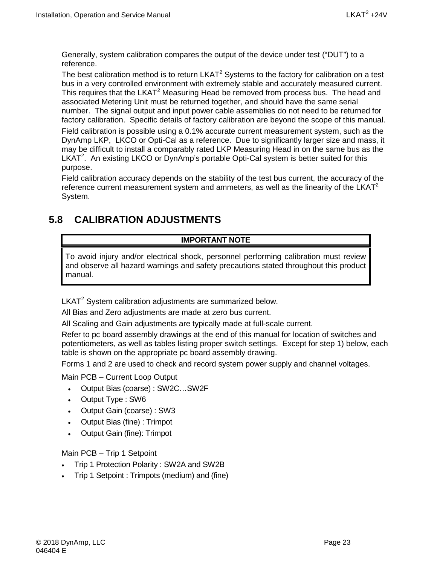Generally, system calibration compares the output of the device under test ("DUT") to a reference.

The best calibration method is to return  $LKAT<sup>2</sup>$  Systems to the factory for calibration on a test bus in a very controlled environment with extremely stable and accurately measured current. This requires that the  $LKAT^2$  Measuring Head be removed from process bus. The head and associated Metering Unit must be returned together, and should have the same serial number. The signal output and input power cable assemblies do not need to be returned for factory calibration. Specific details of factory calibration are beyond the scope of this manual.

Field calibration is possible using a 0.1% accurate current measurement system, such as the DynAmp LKP, LKCO or Opti-Cal as a reference. Due to significantly larger size and mass, it may be difficult to install a comparably rated LKP Measuring Head in on the same bus as the LKAT<sup>2</sup>. An existing LKCO or DynAmp's portable Opti-Cal system is better suited for this purpose.

Field calibration accuracy depends on the stability of the test bus current, the accuracy of the reference current measurement system and ammeters, as well as the linearity of the  $LKAT<sup>2</sup>$ System.

## <span id="page-36-0"></span>**5.8 CALIBRATION ADJUSTMENTS**

#### **IMPORTANT NOTE**

To avoid injury and/or electrical shock, personnel performing calibration must review and observe all hazard warnings and safety precautions stated throughout this product manual.

LKAT<sup>2</sup> System calibration adjustments are summarized below.

All Bias and Zero adjustments are made at zero bus current.

All Scaling and Gain adjustments are typically made at full-scale current.

Refer to pc board assembly drawings at the end of this manual for location of switches and potentiometers, as well as tables listing proper switch settings. Except for step 1) below, each table is shown on the appropriate pc board assembly drawing.

Forms 1 and 2 are used to check and record system power supply and channel voltages.

Main PCB – Current Loop Output

- Output Bias (coarse) : SW2C…SW2F
- Output Type : SW6
- Output Gain (coarse) : SW3
- Output Bias (fine) : Trimpot
- Output Gain (fine): Trimpot

Main PCB – Trip 1 Setpoint

- Trip 1 Protection Polarity : SW2A and SW2B
- Trip 1 Setpoint : Trimpots (medium) and (fine)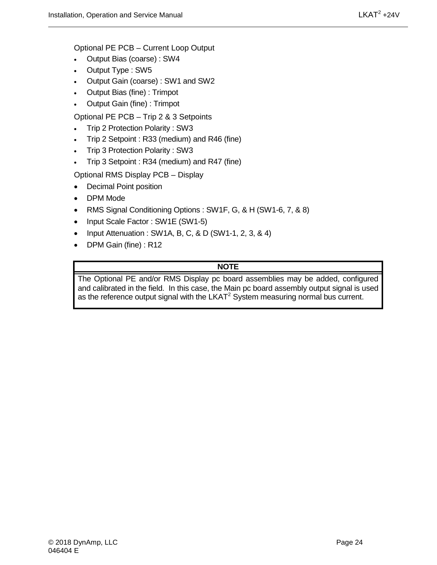Optional PE PCB – Current Loop Output

- Output Bias (coarse) : SW4
- Output Type : SW5
- Output Gain (coarse) : SW1 and SW2
- Output Bias (fine) : Trimpot
- Output Gain (fine) : Trimpot

Optional PE PCB – Trip 2 & 3 Setpoints

- Trip 2 Protection Polarity : SW3
- Trip 2 Setpoint : R33 (medium) and R46 (fine)
- Trip 3 Protection Polarity : SW3
- Trip 3 Setpoint : R34 (medium) and R47 (fine)

Optional RMS Display PCB – Display

- Decimal Point position
- DPM Mode
- RMS Signal Conditioning Options : SW1F, G, & H (SW1-6, 7, & 8)
- Input Scale Factor: SW1E (SW1-5)
- Input Attenuation : SW1A, B, C, & D (SW1-1, 2, 3, & 4)
- DPM Gain (fine) : R12

#### **NOTE**

The Optional PE and/or RMS Display pc board assemblies may be added, configured and calibrated in the field. In this case, the Main pc board assembly output signal is used as the reference output signal with the  $LKAT<sup>2</sup>$  System measuring normal bus current.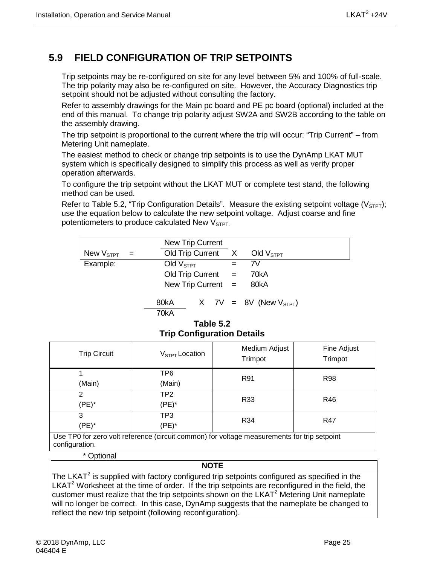## <span id="page-38-0"></span>**5.9 FIELD CONFIGURATION OF TRIP SETPOINTS**

Trip setpoints may be re-configured on site for any level between 5% and 100% of full-scale. The trip polarity may also be re-configured on site. However, the Accuracy Diagnostics trip setpoint should not be adjusted without consulting the factory.

Refer to assembly drawings for the Main pc board and PE pc board (optional) included at the end of this manual. To change trip polarity adjust SW2A and SW2B according to the table on the assembly drawing.

The trip setpoint is proportional to the current where the trip will occur: "Trip Current" – from Metering Unit nameplate.

The easiest method to check or change trip setpoints is to use the DynAmp LKAT MUT system which is specifically designed to simplify this process as well as verify proper operation afterwards.

To configure the trip setpoint without the LKAT MUT or complete test stand, the following method can be used.

Refer to Table 5.2, "Trip Configuration Details". Measure the existing setpoint voltage ( $V_{\text{STP}}$ ); use the equation below to calculate the new setpoint voltage. Adjust coarse and fine potentiometers to produce calculated New  $V<sub>STPT</sub>$ .

|                    |     | <b>New Trip Current</b> |                        |  |     |                               |  |
|--------------------|-----|-------------------------|------------------------|--|-----|-------------------------------|--|
| New $\rm V_{STPT}$ | $=$ | Old Trip Current X      |                        |  |     | Old $\rm V_{STPT}$            |  |
| Example:           |     | Old $VSTPT$             |                        |  | $=$ | 7V                            |  |
|                    |     |                         | $Old$ Trip Current $=$ |  |     | 70kA                          |  |
|                    |     | New Trip Current $=$    |                        |  |     | 80kA                          |  |
|                    |     | 80kA<br>70kA            |                        |  |     | $X$ 7V = 8V (New $V_{STPT}$ ) |  |

#### **Table 5.2 Trip Configuration Details**

<span id="page-38-1"></span>

| <b>Trip Circuit</b>                                                                                           | $V_{STPT}$ Location | Medium Adjust<br>Trimpot | Fine Adjust<br>Trimpot |  |  |
|---------------------------------------------------------------------------------------------------------------|---------------------|--------------------------|------------------------|--|--|
|                                                                                                               | TP <sub>6</sub>     | R91                      | <b>R98</b>             |  |  |
| (Main)                                                                                                        | (Main)              |                          |                        |  |  |
| 2                                                                                                             | TP2                 | R33                      | R46                    |  |  |
| (PE)*                                                                                                         | (PE)*               |                          |                        |  |  |
| 3                                                                                                             | TP3                 | R34                      | R47                    |  |  |
| (PE)*                                                                                                         | (PE)*               |                          |                        |  |  |
| Use TP0 for zero volt reference (circuit common) for voltage measurements for trip setpoint<br>configuration. |                     |                          |                        |  |  |

\* Optional

#### **NOTE**

The LKAT<sup>2</sup> is supplied with factory configured trip setpoints configured as specified in the  $LKAT<sup>2</sup>$  Worksheet at the time of order. If the trip setpoints are reconfigured in the field, the customer must realize that the trip setpoints shown on the LKAT<sup>2</sup> Metering Unit nameplate will no longer be correct. In this case, DynAmp suggests that the nameplate be changed to reflect the new trip setpoint (following reconfiguration).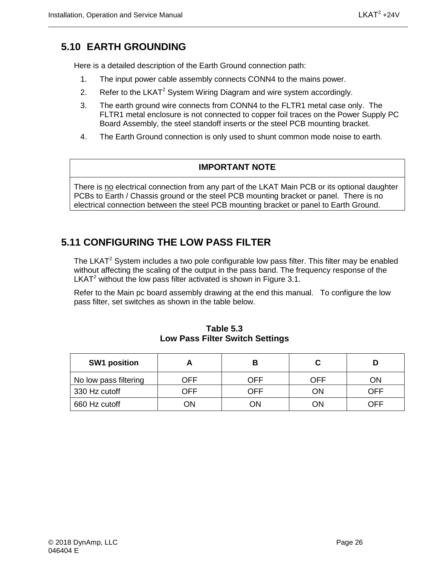## <span id="page-39-0"></span>**5.10 EARTH GROUNDING**

Here is a detailed description of the Earth Ground connection path:

- 1. The input power cable assembly connects CONN4 to the mains power.
- 2. Refer to the LKAT<sup>2</sup> System Wiring Diagram and wire system accordingly.
- 3. The earth ground wire connects from CONN4 to the FLTR1 metal case only. The FLTR1 metal enclosure is not connected to copper foil traces on the Power Supply PC Board Assembly, the steel standoff inserts or the steel PCB mounting bracket.
- 4. The Earth Ground connection is only used to shunt common mode noise to earth.

#### **IMPORTANT NOTE**

There is no electrical connection from any part of the LKAT Main PCB or its optional daughter PCBs to Earth / Chassis ground or the steel PCB mounting bracket or panel. There is no electrical connection between the steel PCB mounting bracket or panel to Earth Ground.

### <span id="page-39-1"></span>**5.11 CONFIGURING THE LOW PASS FILTER**

The LKAT<sup>2</sup> System includes a two pole configurable low pass filter. This filter may be enabled without affecting the scaling of the output in the pass band. The frequency response of the LKAT $2$  without the low pass filter activated is shown in Figure 3.1.

Refer to the Main pc board assembly drawing at the end this manual. To configure the low pass filter, set switches as shown in the table below.

<span id="page-39-2"></span>

| <b>SW1 position</b>   |     |     |     |     |
|-----------------------|-----|-----|-----|-----|
| No low pass filtering | OFF | OFF | OFF | ΟN  |
| 330 Hz cutoff         | OFF | OFF | ΟN  | OFF |
| 660 Hz cutoff         | ΟN  | )N  | κΩ  | NFF |

**Table 5.3 Low Pass Filter Switch Settings**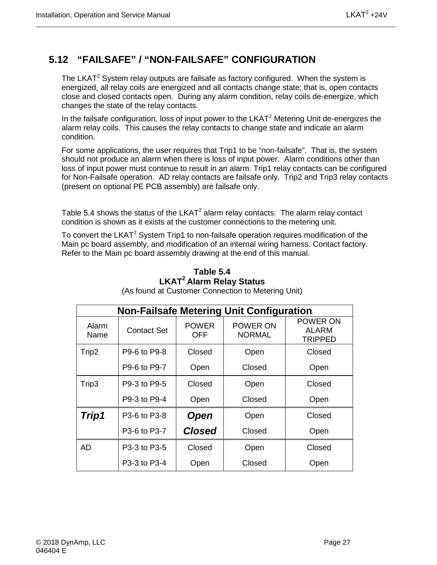## <span id="page-40-0"></span>**5.12 "FAILSAFE" / "NON-FAILSAFE" CONFIGURATION**

The LKAT<sup>2</sup> System relay outputs are failsafe as factory configured. When the system is energized, all relay coils are energized and all contacts change state; that is, open contacts close and closed contacts open. During any alarm condition, relay coils de-energize, which changes the state of the relay contacts.

In the failsafe configuration, loss of input power to the  $LKAT<sup>2</sup>$  Metering Unit de-energizes the alarm relay coils. This causes the relay contacts to change state and indicate an alarm condition.

For some applications, the user requires that Trip1 to be "non-failsafe". That is, the system should not produce an alarm when there is loss of input power. Alarm conditions other than loss of input power must continue to result in an alarm. Trip1 relay contacts can be configured for Non-Failsafe operation. AD relay contacts are failsafe only. Trip2 and Trip3 relay contacts (present on optional PE PCB assembly) are failsafe only.

Table 5.4 shows the status of the  $LKAT^2$  alarm relay contacts. The alarm relay contact condition is shown as it exists at the customer connections to the metering unit.

<span id="page-40-1"></span>To convert the LKAT<sup>2</sup> System Trip1 to non-failsafe operation requires modification of the Main pc board assembly, and modification of an internal wiring harness. Contact factory. Refer to the Main pc board assembly drawing at the end of this manual.

| <b>Non-Failsafe Metering Unit Configuration</b> |                    |                     |                    |                                            |  |  |  |
|-------------------------------------------------|--------------------|---------------------|--------------------|--------------------------------------------|--|--|--|
| Alarm<br>Name                                   | <b>Contact Set</b> | <b>POWER</b><br>OFF | POWER ON<br>NORMAL | POWER ON<br><b>ALARM</b><br><b>TRIPPED</b> |  |  |  |
| Trip2                                           | P9-6 to P9-8       | Closed              | Open               | Closed                                     |  |  |  |
|                                                 | P9-6 to P9-7       | Open                | Closed             | Open                                       |  |  |  |
| Trip3                                           | P9-3 to P9-5       | Closed              | Open               | Closed                                     |  |  |  |
|                                                 | P9-3 to P9-4       | Open                | Closed             | Open                                       |  |  |  |
| Trip1                                           | P3-6 to P3-8       | <b>Open</b>         | Open               | Closed                                     |  |  |  |
|                                                 | P3-6 to P3-7       | <b>Closed</b>       | Closed             | Open                                       |  |  |  |
| <b>AD</b>                                       | P3-3 to P3-5       | Closed              | Open               | Closed                                     |  |  |  |
|                                                 | P3-3 to P3-4       | Open                | Closed             | Open                                       |  |  |  |

### **Table 5.4 LKAT2 Alarm Relay Status**

(As found at Customer Connection to Metering Unit)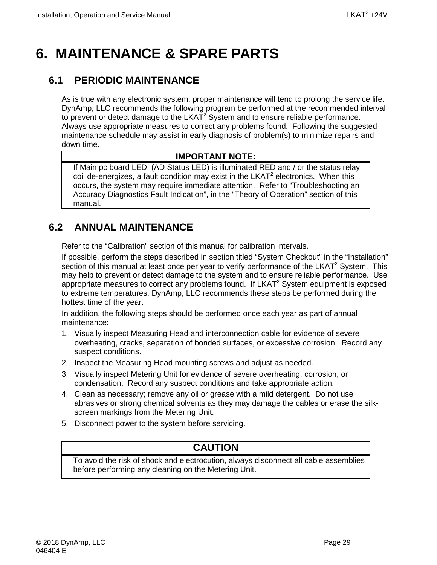## <span id="page-42-0"></span>**6. MAINTENANCE & SPARE PARTS**

## <span id="page-42-1"></span>**6.1 PERIODIC MAINTENANCE**

As is true with any electronic system, proper maintenance will tend to prolong the service life. DynAmp, LLC recommends the following program be performed at the recommended interval to prevent or detect damage to the  $LKAT<sup>2</sup>$  System and to ensure reliable performance. Always use appropriate measures to correct any problems found. Following the suggested maintenance schedule may assist in early diagnosis of problem(s) to minimize repairs and down time.

#### **IMPORTANT NOTE:**

If Main pc board LED (AD Status LED) is illuminated RED and / or the status relay coil de-energizes, a fault condition may exist in the  $LKAT<sup>2</sup>$  electronics. When this occurs, the system may require immediate attention. Refer to "Troubleshooting an Accuracy Diagnostics Fault Indication", in the "Theory of Operation" section of this manual.

## <span id="page-42-2"></span>**6.2 ANNUAL MAINTENANCE**

Refer to the "Calibration" section of this manual for calibration intervals.

If possible, perform the steps described in section titled "System Checkout" in the "Installation" section of this manual at least once per year to verify performance of the  $LKAT<sup>2</sup>$  System. This may help to prevent or detect damage to the system and to ensure reliable performance. Use appropriate measures to correct any problems found. If  $LKAT<sup>2</sup>$  System equipment is exposed to extreme temperatures, DynAmp, LLC recommends these steps be performed during the hottest time of the year.

In addition, the following steps should be performed once each year as part of annual maintenance:

- 1. Visually inspect Measuring Head and interconnection cable for evidence of severe overheating, cracks, separation of bonded surfaces, or excessive corrosion. Record any suspect conditions.
- 2. Inspect the Measuring Head mounting screws and adjust as needed.
- 3. Visually inspect Metering Unit for evidence of severe overheating, corrosion, or condensation. Record any suspect conditions and take appropriate action.
- 4. Clean as necessary; remove any oil or grease with a mild detergent. Do not use abrasives or strong chemical solvents as they may damage the cables or erase the silkscreen markings from the Metering Unit.
- 5. Disconnect power to the system before servicing.

#### **CAUTION**

To avoid the risk of shock and electrocution, always disconnect all cable assemblies before performing any cleaning on the Metering Unit.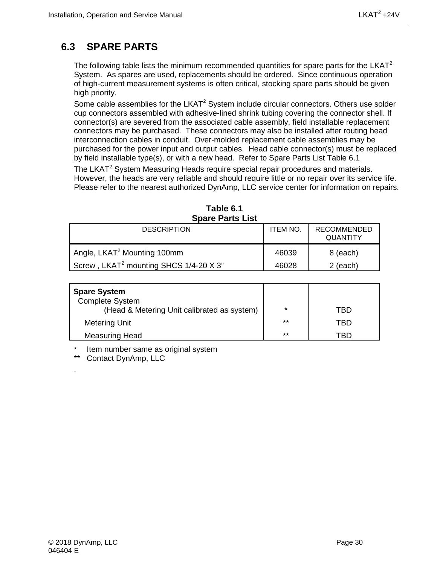## <span id="page-43-0"></span>**6.3 SPARE PARTS**

The following table lists the minimum recommended quantities for spare parts for the  $LKAT<sup>2</sup>$ System. As spares are used, replacements should be ordered. Since continuous operation of high-current measurement systems is often critical, stocking spare parts should be given high priority.

Some cable assemblies for the LKAT $2$  System include circular connectors. Others use solder cup connectors assembled with adhesive-lined shrink tubing covering the connector shell. If connector(s) are severed from the associated cable assembly, field installable replacement connectors may be purchased. These connectors may also be installed after routing head interconnection cables in conduit. Over-molded replacement cable assemblies may be purchased for the power input and output cables. Head cable connector(s) must be replaced by field installable type(s), or with a new head. Refer to Spare Parts List Table 6.1

The LKAT<sup>2</sup> System Measuring Heads require special repair procedures and materials. However, the heads are very reliable and should require little or no repair over its service life. Please refer to the nearest authorized DynAmp, LLC service center for information on repairs.

<span id="page-43-1"></span>

| <b>ODAIC FAILS LISL</b>                            |                 |                                       |  |  |  |  |
|----------------------------------------------------|-----------------|---------------------------------------|--|--|--|--|
| <b>DESCRIPTION</b>                                 | <b>ITEM NO.</b> | <b>RECOMMENDED</b><br><b>QUANTITY</b> |  |  |  |  |
| Angle, LKAT <sup>2</sup> Mounting 100mm            | 46039           | 8 (each)                              |  |  |  |  |
| Screw, LKAT <sup>2</sup> mounting SHCS 1/4-20 X 3" | 46028           | $2$ (each)                            |  |  |  |  |

|                         | Table 6.1 |  |
|-------------------------|-----------|--|
| <b>Spare Parts List</b> |           |  |

| <b>Spare System</b><br><b>Complete System</b><br>(Head & Metering Unit calibrated as system) | $\star$ | TBD |
|----------------------------------------------------------------------------------------------|---------|-----|
| <b>Metering Unit</b>                                                                         | $***$   | TRD |
| <b>Measuring Head</b>                                                                        | $***$   | TBD |

\* Item number same as original system<br>\*\* Contact DynAmp LLC

Contact DynAmp, LLC

.